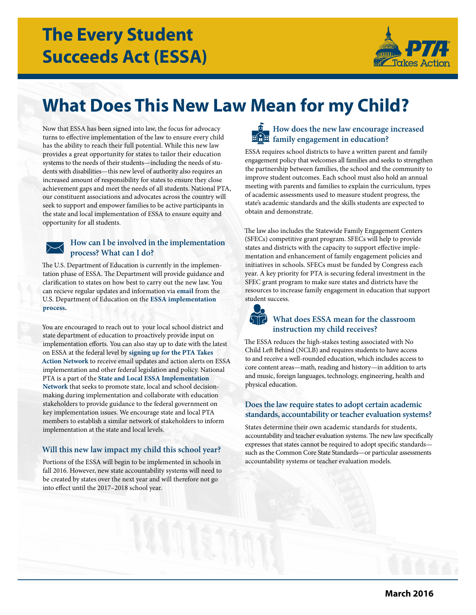

# **What Does This New Law Mean for my Child?**

Now that ESSA has been signed into law, the focus for advocacy turns to effective implementation of the law to ensure every child has the ability to reach their full potential. While this new law provides a great opportunity for states to tailor their education systems to the needs of their students—including the needs of students with disabilities—this new level of authority also requires an increased amount of responsibility for states to ensure they close achievement gaps and meet the needs of all students. National PTA, our constituent associations and advocates across the country will seek to support and empower families to be active participants in the state and local implementation of ESSA to ensure equity and opportunity for all students.

# **How can I be involved in the implementation process? What can I do?**

The U.S. Department of Education is currently in the implementation phase of ESSA. The Department will provide guidance and clarification to states on how best to carry out the new law. You can recieve regular updates and information via **[email](https://public.govdelivery.com/accounts/USED/subscriber/new?topic_id=USED_28)** from the U.S. Department of Education on the **[ESSA implementation](http://www.ed.gov/essa?src=rn)  [process.](http://www.ed.gov/essa?src=rn)** 

You are encouraged to reach out to your local school district and state department of education to proactively provide input on implementation efforts. You can also stay up to date with the latest on ESSA at the federal level by **[signing up for the PTA Takes](http://www.pta.org/advocacy/takesaction.cfm)  [Action Network](http://www.pta.org/advocacy/takesaction.cfm)** to receive email updates and action alerts on ESSA implementation and other federal legislation and policy. National PTA is a part of the **[State and Local ESSA Implementation](http://www.pta.org/files/Advocacy/ESSA Implementation Network Letter - FINAL.pdf)  [Network](http://www.pta.org/files/Advocacy/ESSA Implementation Network Letter - FINAL.pdf)** that seeks to promote state, local and school decisionmaking during implementation and collaborate with education stakeholders to provide guidance to the federal government on key implementation issues. We encourage state and local PTA members to establish a similar network of stakeholders to inform implementation at the state and local levels.

# **Will this new law impact my child this school year?**

Portions of the ESSA will begin to be implemented in schools in fall 2016. However, new state accountability systems will need to be created by states over the next year and will therefore not go into effect until the 2017–2018 school year.



ESSA requires school districts to have a written parent and family engagement policy that welcomes all families and seeks to strengthen the partnership between families, the school and the community to improve student outcomes. Each school must also hold an annual meeting with parents and families to explain the curriculum, types of academic assessments used to measure student progress, the state's academic standards and the skills students are expected to obtain and demonstrate.

The law also includes the Statewide Family Engagement Centers (SFECs) competitive grant program. SFECs will help to provide states and districts with the capacity to support effective implementation and enhancement of family engagement policies and initiatives in schools. SFECs must be funded by Congress each year. A key priority for PTA is securing federal investment in the SFEC grant program to make sure states and districts have the resources to increase family engagement in education that support student success.

# **What does ESSA mean for the classroom instruction my child receives?**

The ESSA reduces the high-stakes testing associated with No Child Left Behind (NCLB) and requires students to have access to and receive a well-rounded education, which includes access to core content areas—math, reading and history—in addition to arts and music, foreign languages, technology, engineering, health and physical education.

# **Does the law require states to adopt certain academic standards, accountability or teacher evaluation systems?**

States determine their own academic standards for students, accountability and teacher evaluation systems. The new law specifically expresses that states cannot be required to adopt specific standards such as the Common Core State Standards—or particular assessments accountability systems or teacher evaluation models.